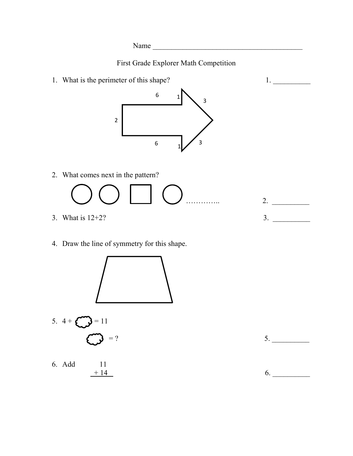Name \_\_\_\_\_\_\_\_\_\_\_\_\_\_\_\_\_\_\_\_\_\_\_\_\_\_\_\_\_\_\_\_\_\_\_\_\_\_\_\_

First Grade Explorer Math Competition

1. What is the perimeter of this shape? 1.



2. What comes next in the pattern?

………….. 2. \_\_\_\_\_\_\_\_\_\_

- 3. What is 12+2? 3. \_\_\_\_\_\_\_\_\_\_
- 4. Draw the line of symmetry for this shape.



6. Add 11  $+ 14$  6.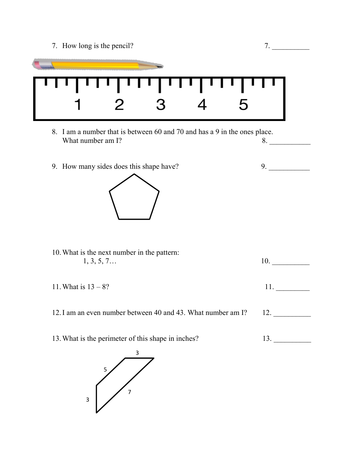7. How long is the pencil? 7. \_\_\_\_\_\_\_\_\_\_



- 8. I am a number that is between 60 and 70 and has a 9 in the ones place. What number am  $\Gamma$ ? 8.
- 9. How many sides does this shape have? 9.



- 10.What is the next number in the pattern: 1, 3, 5, 7… 10. \_\_\_\_\_\_\_\_\_\_ 11. What is  $13 - 8$ ? 11. 12. I am an even number between 40 and 43. What number am I? 12.
- 13. What is the perimeter of this shape in inches? 13.

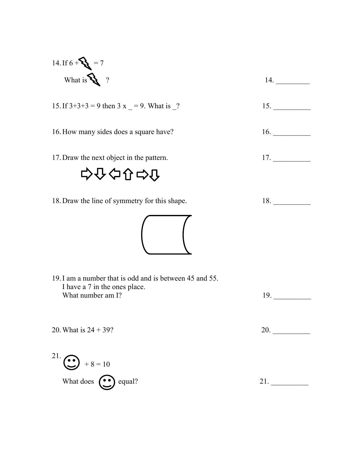14. If 
$$
6 + 8 = 7
$$
  
\nWhat is  $8 \times 7$   
\n15. If  $3+3+3 = 9$  then  $3 \times 7 = 9$ . What is  $-2$   
\n16. How many sides does a square have?  
\n17. Draw the next object in the pattern.  
\n17. Draw the line of symmetry for this shape.  
\n18. Draw the line of symmetry for this shape.  
\n19. I am a number that is odd and is between 45 and 55.  
\n1 have a 7 in the ones place.  
\nWhat number am 1?  
\n20. What is 24 + 39?  
\n21.  $3 \times 1 = 10$   
\nWhat does  $3 \times 1 = 10$   
\nWhat does  $3 \times 1 = 10$   
\n19. 20. 21. 21. 22.